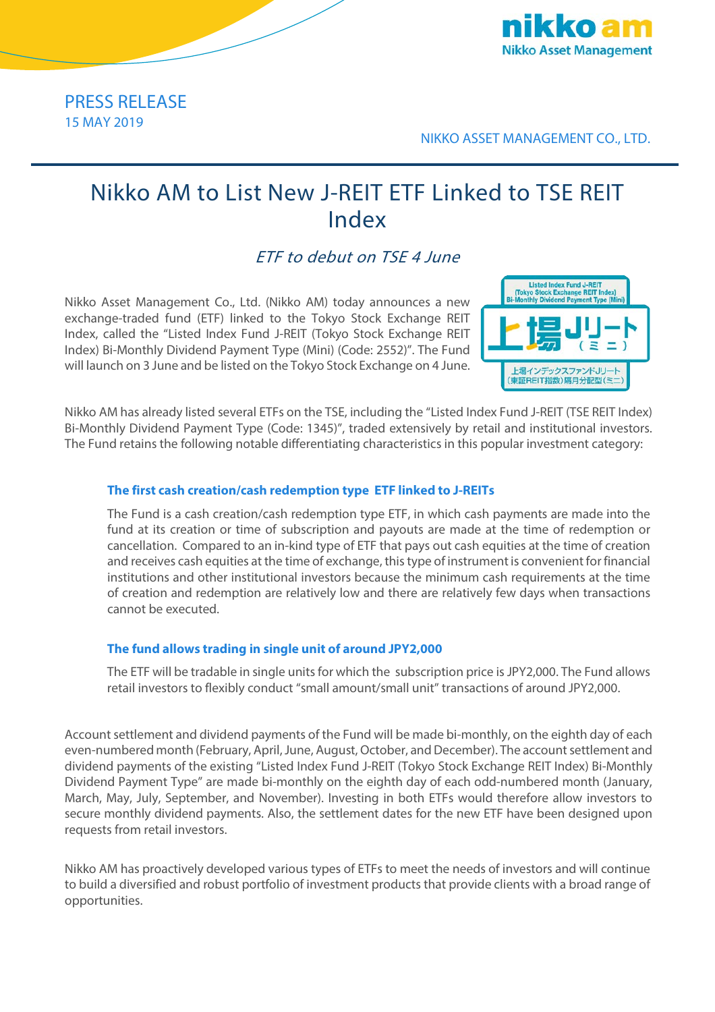

## PRESS RELEASE 15 MAY 2019

NIKKO ASSET MANAGEMENT CO., LTD.

# Nikko AM to List New J-REIT ETF Linked to TSE REIT Index

ETF to debut on TSE 4 June

Nikko Asset Management Co., Ltd. (Nikko AM) today announces a new exchange-traded fund (ETF) linked to the Tokyo Stock Exchange REIT Index, called the "Listed Index Fund J-REIT (Tokyo Stock Exchange REIT Index) Bi-Monthly Dividend Payment Type (Mini) (Code: 2552)". The Fund will launch on 3 June and be listed on the Tokyo Stock Exchange on 4 June.



Nikko AM has already listed several ETFs on the TSE, including the "Listed Index Fund J-REIT (TSE REIT Index) Bi-Monthly Dividend Payment Type (Code: 1345)", traded extensively by retail and institutional investors. The Fund retains the following notable differentiating characteristics in this popular investment category:

### **The first cash creation/cash redemption type ETF linked to J-REITs**

The Fund is a cash creation/cash redemption type ETF, in which cash payments are made into the fund at its creation or time of subscription and payouts are made at the time of redemption or cancellation. Compared to an in-kind type of ETF that pays out cash equities at the time of creation and receives cash equities at the time of exchange, this type of instrument is convenient for financial institutions and other institutional investors because the minimum cash requirements at the time of creation and redemption are relatively low and there are relatively few days when transactions cannot be executed.

### **The fund allows trading in single unit of around JPY2,000**

The ETF will be tradable in single units for which the subscription price is JPY2,000. The Fund allows retail investors to flexibly conduct "small amount/small unit" transactions of around JPY2,000.

Account settlement and dividend payments of the Fund will be made bi-monthly, on the eighth day of each even-numbered month (February, April, June, August, October, and December). The account settlement and dividend payments of the existing "Listed Index Fund J-REIT (Tokyo Stock Exchange REIT Index) Bi-Monthly Dividend Payment Type" are made bi-monthly on the eighth day of each odd-numbered month (January, March, May, July, September, and November). Investing in both ETFs would therefore allow investors to secure monthly dividend payments. Also, the settlement dates for the new ETF have been designed upon requests from retail investors.

Nikko AM has proactively developed various types of ETFs to meet the needs of investors and will continue to build a diversified and robust portfolio of investment products that provide clients with a broad range of opportunities.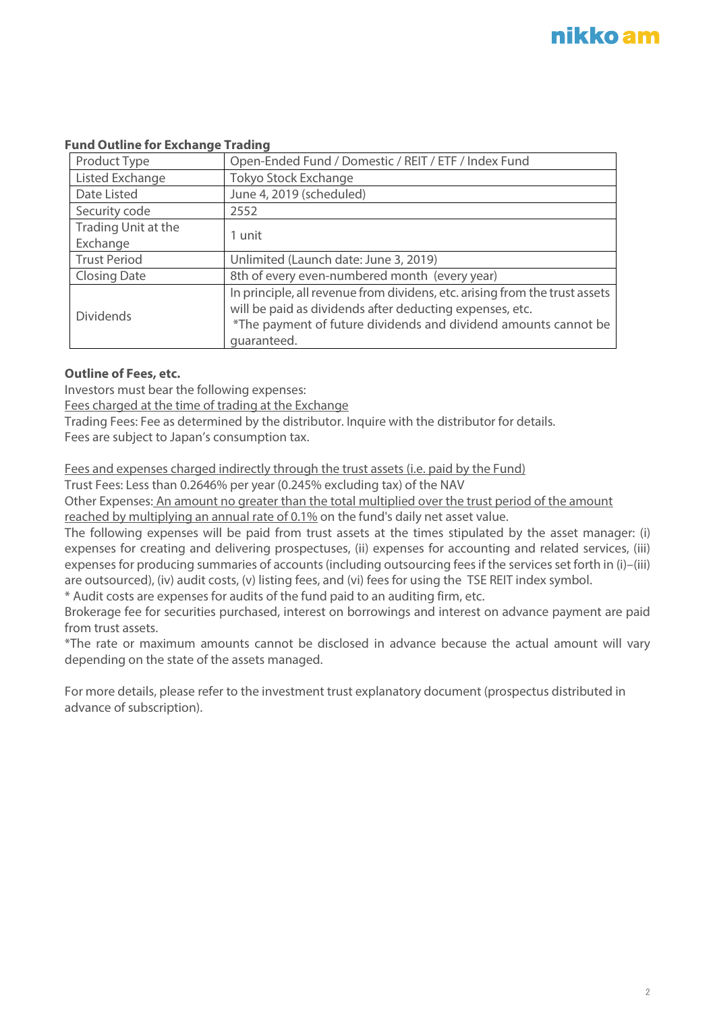#### **Fund Outline for Exchange Trading**

| Product Type        | Open-Ended Fund / Domestic / REIT / ETF / Index Fund                                                                                                                                                                      |
|---------------------|---------------------------------------------------------------------------------------------------------------------------------------------------------------------------------------------------------------------------|
| Listed Exchange     | <b>Tokyo Stock Exchange</b>                                                                                                                                                                                               |
| Date Listed         | June 4, 2019 (scheduled)                                                                                                                                                                                                  |
| Security code       | 2552                                                                                                                                                                                                                      |
| Trading Unit at the | 1 unit                                                                                                                                                                                                                    |
| Exchange            |                                                                                                                                                                                                                           |
| <b>Trust Period</b> | Unlimited (Launch date: June 3, 2019)                                                                                                                                                                                     |
| <b>Closing Date</b> | 8th of every even-numbered month (every year)                                                                                                                                                                             |
| <b>Dividends</b>    | In principle, all revenue from dividens, etc. arising from the trust assets<br>will be paid as dividends after deducting expenses, etc.<br>*The payment of future dividends and dividend amounts cannot be<br>quaranteed. |

#### **Outline of Fees, etc.**

Investors must bear the following expenses:

Fees charged at the time of trading at the Exchange

Trading Fees: Fee as determined by the distributor. Inquire with the distributor for details.

Fees are subject to Japan's consumption tax.

Fees and expenses charged indirectly through the trust assets (i.e. paid by the Fund)

Trust Fees: Less than 0.2646% per year (0.245% excluding tax) of the NAV

Other Expenses: An amount no greater than the total multiplied over the trust period of the amount reached by multiplying an annual rate of 0.1% on the fund's daily net asset value.

The following expenses will be paid from trust assets at the times stipulated by the asset manager: (i) expenses for creating and delivering prospectuses, (ii) expenses for accounting and related services, (iii) expenses for producing summaries of accounts (including outsourcing fees if the services set forth in (i)–(iii) are outsourced), (iv) audit costs, (v) listing fees, and (vi) fees for using the TSE REIT index symbol.

\* Audit costs are expenses for audits of the fund paid to an auditing firm, etc.

Brokerage fee for securities purchased, interest on borrowings and interest on advance payment are paid from trust assets.

\*The rate or maximum amounts cannot be disclosed in advance because the actual amount will vary depending on the state of the assets managed.

For more details, please refer to the investment trust explanatory document (prospectus distributed in advance of subscription).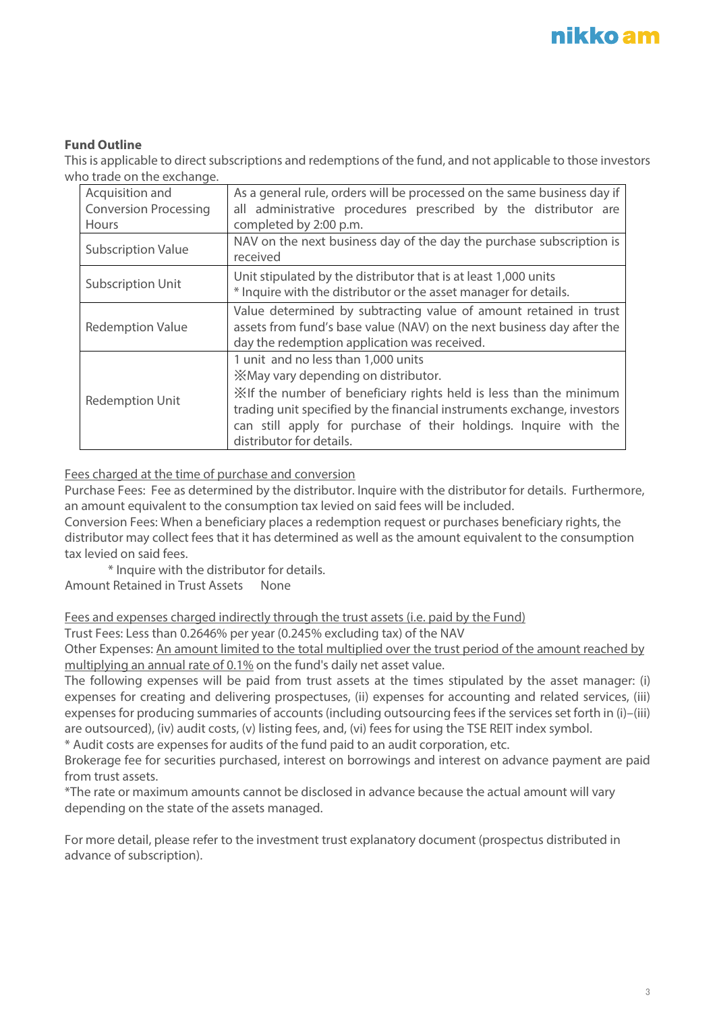### **Fund Outline**

This is applicable to direct subscriptions and redemptions of the fund, and not applicable to those investors who trade on the exchange.

| Acquisition and              | As a general rule, orders will be processed on the same business day if                                                                                                                                                                                                                                                     |
|------------------------------|-----------------------------------------------------------------------------------------------------------------------------------------------------------------------------------------------------------------------------------------------------------------------------------------------------------------------------|
| <b>Conversion Processing</b> | all administrative procedures prescribed by the distributor are                                                                                                                                                                                                                                                             |
| <b>Hours</b>                 | completed by 2:00 p.m.                                                                                                                                                                                                                                                                                                      |
| <b>Subscription Value</b>    | NAV on the next business day of the day the purchase subscription is<br>received                                                                                                                                                                                                                                            |
| <b>Subscription Unit</b>     | Unit stipulated by the distributor that is at least 1,000 units<br>* Inquire with the distributor or the asset manager for details.                                                                                                                                                                                         |
| <b>Redemption Value</b>      | Value determined by subtracting value of amount retained in trust<br>assets from fund's base value (NAV) on the next business day after the<br>day the redemption application was received.                                                                                                                                 |
| <b>Redemption Unit</b>       | 1 unit and no less than 1,000 units<br>XMay vary depending on distributor.<br>Xif the number of beneficiary rights held is less than the minimum<br>trading unit specified by the financial instruments exchange, investors<br>can still apply for purchase of their holdings. Inquire with the<br>distributor for details. |

#### Fees charged at the time of purchase and conversion

Purchase Fees: Fee as determined by the distributor. Inquire with the distributor for details. Furthermore, an amount equivalent to the consumption tax levied on said fees will be included.

Conversion Fees: When a beneficiary places a redemption request or purchases beneficiary rights, the distributor may collect fees that it has determined as well as the amount equivalent to the consumption tax levied on said fees.

\* Inquire with the distributor for details. Amount Retained in Trust Assets None

Fees and expenses charged indirectly through the trust assets (i.e. paid by the Fund)

Trust Fees: Less than 0.2646% per year (0.245% excluding tax) of the NAV

Other Expenses: An amount limited to the total multiplied over the trust period of the amount reached by multiplying an annual rate of 0.1% on the fund's daily net asset value.

The following expenses will be paid from trust assets at the times stipulated by the asset manager: (i) expenses for creating and delivering prospectuses, (ii) expenses for accounting and related services, (iii) expenses for producing summaries of accounts (including outsourcing fees if the services set forth in (i)–(iii) are outsourced), (iv) audit costs, (v) listing fees, and, (vi) fees for using the TSE REIT index symbol.

\* Audit costs are expenses for audits of the fund paid to an audit corporation, etc.

Brokerage fee for securities purchased, interest on borrowings and interest on advance payment are paid from trust assets.

\*The rate or maximum amounts cannot be disclosed in advance because the actual amount will vary depending on the state of the assets managed.

For more detail, please refer to the investment trust explanatory document (prospectus distributed in advance of subscription).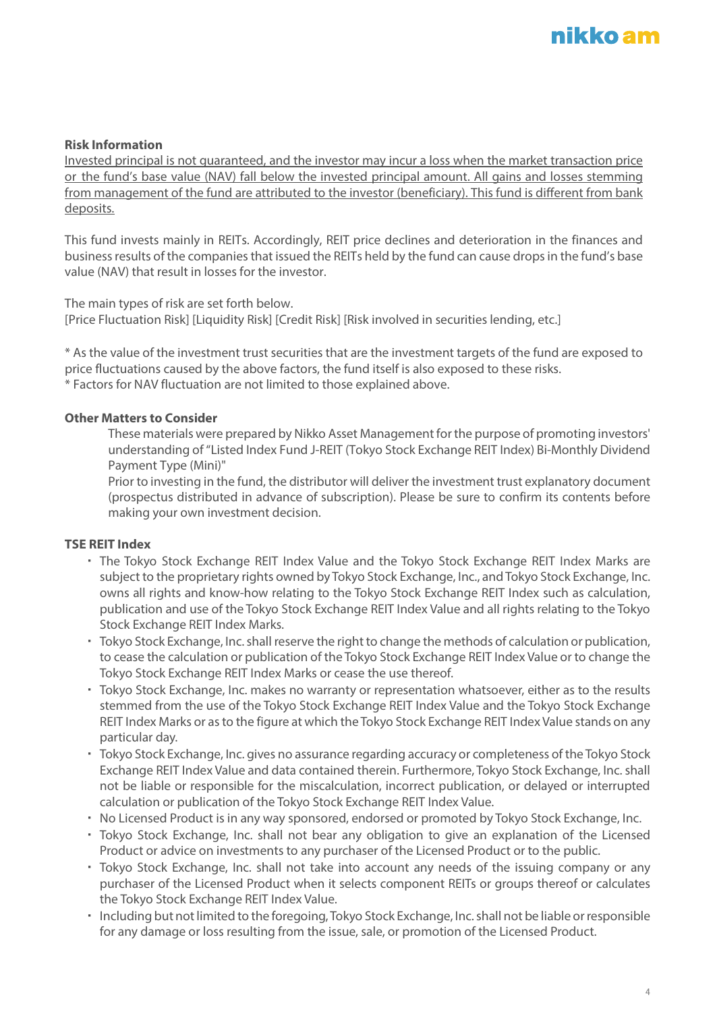#### **Risk Information**

Invested principal is not guaranteed, and the investor may incur a loss when the market transaction price or the fund's base value (NAV) fall below the invested principal amount. All gains and losses stemming from management of the fund are attributed to the investor (beneficiary). This fund is different from bank deposits.

This fund invests mainly in REITs. Accordingly, REIT price declines and deterioration in the finances and business results of the companies that issued the REITs held by the fund can cause drops in the fund's base value (NAV) that result in losses for the investor.

The main types of risk are set forth below.

[Price Fluctuation Risk] [Liquidity Risk] [Credit Risk] [Risk involved in securities lending, etc.]

\* As the value of the investment trust securities that are the investment targets of the fund are exposed to price fluctuations caused by the above factors, the fund itself is also exposed to these risks. \* Factors for NAV fluctuation are not limited to those explained above.

#### **Other Matters to Consider**

These materials were prepared by Nikko Asset Management for the purpose of promoting investors' understanding of "Listed Index Fund J-REIT (Tokyo Stock Exchange REIT Index) Bi-Monthly Dividend Payment Type (Mini)"

Prior to investing in the fund, the distributor will deliver the investment trust explanatory document (prospectus distributed in advance of subscription). Please be sure to confirm its contents before making your own investment decision.

#### **TSE REIT Index**

- ・ The Tokyo Stock Exchange REIT Index Value and the Tokyo Stock Exchange REIT Index Marks are subject to the proprietary rights owned by Tokyo Stock Exchange, Inc., and Tokyo Stock Exchange, Inc. owns all rights and know-how relating to the Tokyo Stock Exchange REIT Index such as calculation, publication and use of the Tokyo Stock Exchange REIT Index Value and all rights relating to the Tokyo Stock Exchange REIT Index Marks.
- ・ Tokyo Stock Exchange, Inc. shall reserve the right to change the methods of calculation or publication, to cease the calculation or publication of the Tokyo Stock Exchange REIT Index Value or to change the Tokyo Stock Exchange REIT Index Marks or cease the use thereof.
- ・ Tokyo Stock Exchange, Inc. makes no warranty or representation whatsoever, either as to the results stemmed from the use of the Tokyo Stock Exchange REIT Index Value and the Tokyo Stock Exchange REIT Index Marks or as to the figure at which the Tokyo Stock Exchange REIT Index Value stands on any particular day.
- ・ Tokyo Stock Exchange, Inc. gives no assurance regarding accuracy or completeness of the Tokyo Stock Exchange REIT Index Value and data contained therein. Furthermore, Tokyo Stock Exchange, Inc. shall not be liable or responsible for the miscalculation, incorrect publication, or delayed or interrupted calculation or publication of the Tokyo Stock Exchange REIT Index Value.
- ・ No Licensed Product is in any way sponsored, endorsed or promoted by Tokyo Stock Exchange, Inc.
- ・ Tokyo Stock Exchange, Inc. shall not bear any obligation to give an explanation of the Licensed Product or advice on investments to any purchaser of the Licensed Product or to the public.
- Tokyo Stock Exchange, Inc. shall not take into account any needs of the issuing company or any purchaser of the Licensed Product when it selects component REITs or groups thereof or calculates the Tokyo Stock Exchange REIT Index Value.
- ・ Including but not limited to the foregoing, Tokyo Stock Exchange, Inc. shall not be liable or responsible for any damage or loss resulting from the issue, sale, or promotion of the Licensed Product.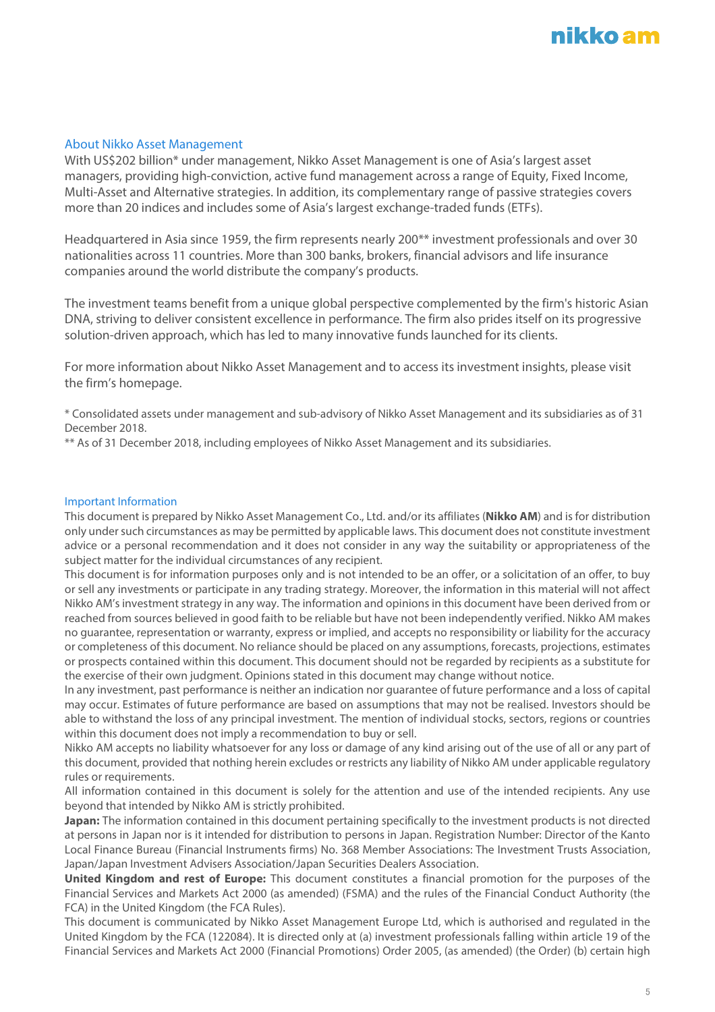## nikko am

#### About Nikko Asset Management

With US\$202 billion\* under management, Nikko Asset Management is one of Asia's largest asset managers, providing high-conviction, active fund management across a range of Equity, Fixed Income, Multi-Asset and Alternative strategies. In addition, its complementary range of passive strategies covers more than 20 indices and includes some of Asia's largest exchange-traded funds (ETFs).

Headquartered in Asia since 1959, the firm represents nearly 200\*\* investment professionals and over 30 nationalities across 11 countries. More than 300 banks, brokers, financial advisors and life insurance companies around the world distribute the company's products.

The investment teams benefit from a unique global perspective complemented by the firm's historic Asian DNA, striving to deliver consistent excellence in performance. The firm also prides itself on its progressive solution-driven approach, which has led to many innovative funds launched for its clients.

For more information about Nikko Asset Management and to access its investment insights, please visit the firm's [homepage.](http://en.nikkoam.com/)

\* Consolidated assets under management and sub-advisory of Nikko Asset Management and its subsidiaries as of 31 December 2018.

\*\* As of 31 December 2018, including employees of Nikko Asset Management and its subsidiaries.

#### Important Information

This document is prepared by Nikko Asset Management Co., Ltd. and/or its affiliates (**Nikko AM**) and is for distribution only under such circumstances as may be permitted by applicable laws. This document does not constitute investment advice or a personal recommendation and it does not consider in any way the suitability or appropriateness of the subject matter for the individual circumstances of any recipient.

This document is for information purposes only and is not intended to be an offer, or a solicitation of an offer, to buy or sell any investments or participate in any trading strategy. Moreover, the information in this material will not affect Nikko AM's investment strategy in any way. The information and opinions in this document have been derived from or reached from sources believed in good faith to be reliable but have not been independently verified. Nikko AM makes no guarantee, representation or warranty, express or implied, and accepts no responsibility or liability for the accuracy or completeness of this document. No reliance should be placed on any assumptions, forecasts, projections, estimates or prospects contained within this document. This document should not be regarded by recipients as a substitute for the exercise of their own judgment. Opinions stated in this document may change without notice.

In any investment, past performance is neither an indication nor guarantee of future performance and a loss of capital may occur. Estimates of future performance are based on assumptions that may not be realised. Investors should be able to withstand the loss of any principal investment. The mention of individual stocks, sectors, regions or countries within this document does not imply a recommendation to buy or sell.

Nikko AM accepts no liability whatsoever for any loss or damage of any kind arising out of the use of all or any part of this document, provided that nothing herein excludes or restricts any liability of Nikko AM under applicable regulatory rules or requirements.

All information contained in this document is solely for the attention and use of the intended recipients. Any use beyond that intended by Nikko AM is strictly prohibited.

**Japan:** The information contained in this document pertaining specifically to the investment products is not directed at persons in Japan nor is it intended for distribution to persons in Japan. Registration Number: Director of the Kanto Local Finance Bureau (Financial Instruments firms) No. 368 Member Associations: The Investment Trusts Association, Japan/Japan Investment Advisers Association/Japan Securities Dealers Association.

**United Kingdom and rest of Europe:** This document constitutes a financial promotion for the purposes of the Financial Services and Markets Act 2000 (as amended) (FSMA) and the rules of the Financial Conduct Authority (the FCA) in the United Kingdom (the FCA Rules).

This document is communicated by Nikko Asset Management Europe Ltd, which is authorised and regulated in the United Kingdom by the FCA (122084). It is directed only at (a) investment professionals falling within article 19 of the Financial Services and Markets Act 2000 (Financial Promotions) Order 2005, (as amended) (the Order) (b) certain high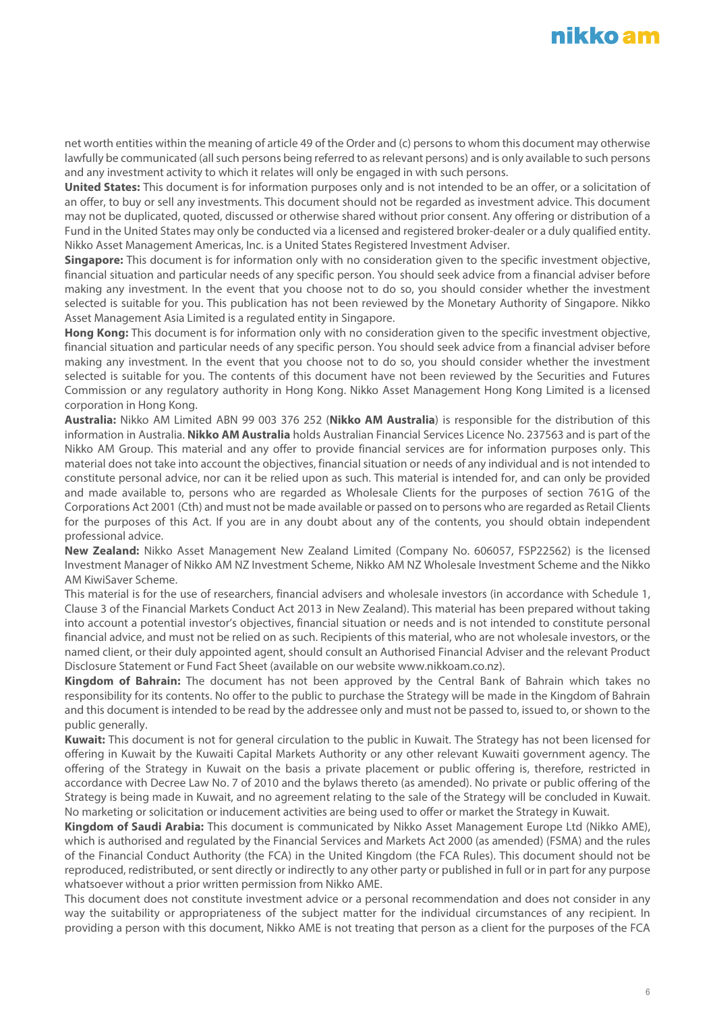## nikko am

net worth entities within the meaning of article 49 of the Order and (c) persons to whom this document may otherwise lawfully be communicated (all such persons being referred to as relevant persons) and is only available to such persons and any investment activity to which it relates will only be engaged in with such persons.

**United States:** This document is for information purposes only and is not intended to be an offer, or a solicitation of an offer, to buy or sell any investments. This document should not be regarded as investment advice. This document may not be duplicated, quoted, discussed or otherwise shared without prior consent. Any offering or distribution of a Fund in the United States may only be conducted via a licensed and registered broker-dealer or a duly qualified entity. Nikko Asset Management Americas, Inc. is a United States Registered Investment Adviser.

**Singapore:** This document is for information only with no consideration given to the specific investment objective, financial situation and particular needs of any specific person. You should seek advice from a financial adviser before making any investment. In the event that you choose not to do so, you should consider whether the investment selected is suitable for you. This publication has not been reviewed by the Monetary Authority of Singapore. Nikko Asset Management Asia Limited is a regulated entity in Singapore.

**Hong Kong:** This document is for information only with no consideration given to the specific investment objective, financial situation and particular needs of any specific person. You should seek advice from a financial adviser before making any investment. In the event that you choose not to do so, you should consider whether the investment selected is suitable for you. The contents of this document have not been reviewed by the Securities and Futures Commission or any regulatory authority in Hong Kong. Nikko Asset Management Hong Kong Limited is a licensed corporation in Hong Kong.

**Australia:** Nikko AM Limited ABN 99 003 376 252 (**Nikko AM Australia**) is responsible for the distribution of this information in Australia. **Nikko AM Australia** holds Australian Financial Services Licence No. 237563 and is part of the Nikko AM Group. This material and any offer to provide financial services are for information purposes only. This material does not take into account the objectives, financial situation or needs of any individual and is not intended to constitute personal advice, nor can it be relied upon as such. This material is intended for, and can only be provided and made available to, persons who are regarded as Wholesale Clients for the purposes of section 761G of the Corporations Act 2001 (Cth) and must not be made available or passed on to persons who are regarded as Retail Clients for the purposes of this Act. If you are in any doubt about any of the contents, you should obtain independent professional advice.

**New Zealand:** Nikko Asset Management New Zealand Limited (Company No. 606057, FSP22562) is the licensed Investment Manager of Nikko AM NZ Investment Scheme, Nikko AM NZ Wholesale Investment Scheme and the Nikko AM KiwiSaver Scheme.

This material is for the use of researchers, financial advisers and wholesale investors (in accordance with Schedule 1, Clause 3 of the Financial Markets Conduct Act 2013 in New Zealand). This material has been prepared without taking into account a potential investor's objectives, financial situation or needs and is not intended to constitute personal financial advice, and must not be relied on as such. Recipients of this material, who are not wholesale investors, or the named client, or their duly appointed agent, should consult an Authorised Financial Adviser and the relevant Product Disclosure Statement or Fund Fact Sheet (available on our website www.nikkoam.co.nz).

**Kingdom of Bahrain:** The document has not been approved by the Central Bank of Bahrain which takes no responsibility for its contents. No offer to the public to purchase the Strategy will be made in the Kingdom of Bahrain and this document is intended to be read by the addressee only and must not be passed to, issued to, or shown to the public generally.

**Kuwait:** This document is not for general circulation to the public in Kuwait. The Strategy has not been licensed for offering in Kuwait by the Kuwaiti Capital Markets Authority or any other relevant Kuwaiti government agency. The offering of the Strategy in Kuwait on the basis a private placement or public offering is, therefore, restricted in accordance with Decree Law No. 7 of 2010 and the bylaws thereto (as amended). No private or public offering of the Strategy is being made in Kuwait, and no agreement relating to the sale of the Strategy will be concluded in Kuwait. No marketing or solicitation or inducement activities are being used to offer or market the Strategy in Kuwait.

**Kingdom of Saudi Arabia:** This document is communicated by Nikko Asset Management Europe Ltd (Nikko AME), which is authorised and regulated by the Financial Services and Markets Act 2000 (as amended) (FSMA) and the rules of the Financial Conduct Authority (the FCA) in the United Kingdom (the FCA Rules). This document should not be reproduced, redistributed, or sent directly or indirectly to any other party or published in full or in part for any purpose whatsoever without a prior written permission from Nikko AME.

This document does not constitute investment advice or a personal recommendation and does not consider in any way the suitability or appropriateness of the subject matter for the individual circumstances of any recipient. In providing a person with this document, Nikko AME is not treating that person as a client for the purposes of the FCA